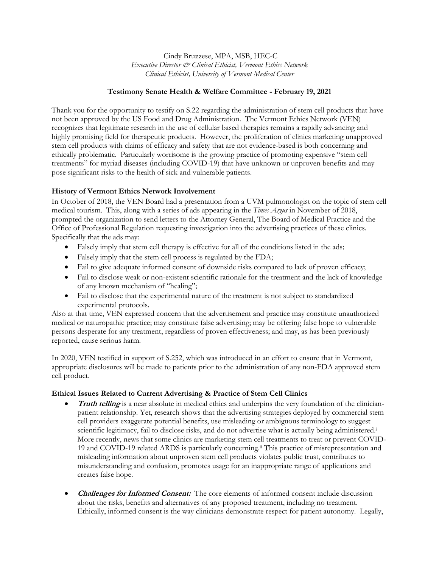Cindy Bruzzese, MPA, MSB, HEC-C *Executive Director & Clinical Ethicist, Vermont Ethics Network Clinical Ethicist, University of Vermont Medical Center*

## **Testimony Senate Health & Welfare Committee - February 19, 2021**

Thank you for the opportunity to testify on S.22 regarding the administration of stem cell products that have not been approved by the US Food and Drug Administration. The Vermont Ethics Network (VEN) recognizes that legitimate research in the use of cellular based therapies remains a rapidly advancing and highly promising field for therapeutic products. However, the proliferation of clinics marketing unapproved stem cell products with claims of efficacy and safety that are not evidence-based is both concerning and ethically problematic. Particularly worrisome is the growing practice of promoting expensive "stem cell treatments" for myriad diseases (including COVID-19) that have unknown or unproven benefits and may pose significant risks to the health of sick and vulnerable patients.

# **History of Vermont Ethics Network Involvement**

In October of 2018, the VEN Board had a presentation from a UVM pulmonologist on the topic of stem cell medical tourism. This, along with a series of ads appearing in the *Times Argus* in November of 2018, prompted the organization to send letters to the Attorney General, The Board of Medical Practice and the Office of Professional Regulation requesting investigation into the advertising practices of these clinics. Specifically that the ads may:

- Falsely imply that stem cell therapy is effective for all of the conditions listed in the ads;
- Falsely imply that the stem cell process is regulated by the FDA;
- Fail to give adequate informed consent of downside risks compared to lack of proven efficacy;
- Fail to disclose weak or non-existent scientific rationale for the treatment and the lack of knowledge of any known mechanism of "healing";
- Fail to disclose that the experimental nature of the treatment is not subject to standardized experimental protocols.

Also at that time, VEN expressed concern that the advertisement and practice may constitute unauthorized medical or naturopathic practice; may constitute false advertising; may be offering false hope to vulnerable persons desperate for any treatment, regardless of proven effectiveness; and may, as has been previously reported, cause serious harm.

In 2020, VEN testified in support of S.252, which was introduced in an effort to ensure that in Vermont, appropriate disclosures will be made to patients prior to the administration of any non-FDA approved stem cell product.

### **Ethical Issues Related to Current Advertising & Practice of Stem Cell Clinics**

- **Truth telling** is a near absolute in medical ethics and underpins the very foundation of the clinicianpatient relationship. Yet, research shows that the advertising strategies deployed by commercial stem cell providers exaggerate potential benefits, use misleading or ambiguous terminology to suggest scientific legitimacy, fail to disclose risks, and do not advertise what is actually being administered. i More recently, news that some clinics are marketing stem cell treatments to treat or prevent COVID-19 and COVID-19 related ARDS is particularly concerning.ii This practice of misrepresentation and misleading information about unproven stem cell products violates public trust, contributes to misunderstanding and confusion, promotes usage for an inappropriate range of applications and creates false hope.
- **Challenges for Informed Consent:** The core elements of informed consent include discussion about the risks, benefits and alternatives of any proposed treatment, including no treatment. Ethically, informed consent is the way clinicians demonstrate respect for patient autonomy. Legally,